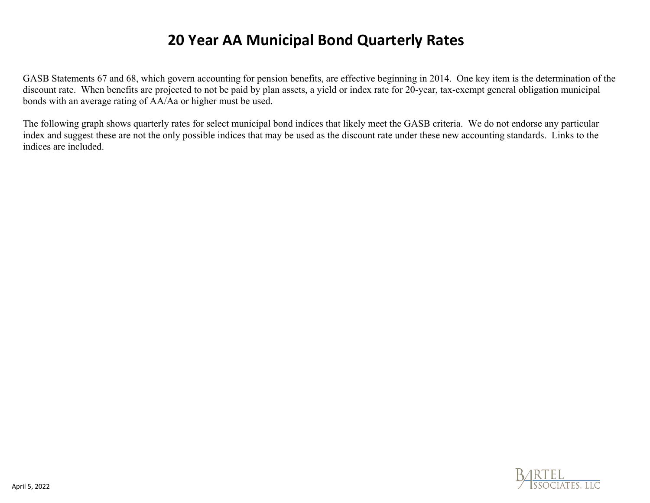# **20 Year AA Municipal Bond Quarterly Rates**

GASB Statements 67 and 68, which govern accounting for pension benefits, are effective beginning in 2014. One key item is the determination of the discount rate. When benefits are projected to not be paid by plan assets, a yield or index rate for 20-year, tax-exempt general obligation municipal bonds with an average rating of AA/Aa or higher must be used.

The following graph shows quarterly rates for select municipal bond indices that likely meet the GASB criteria. We do not endorse any particular index and suggest these are not the only possible indices that may be used as the discount rate under these new accounting standards. Links to the indices are included.

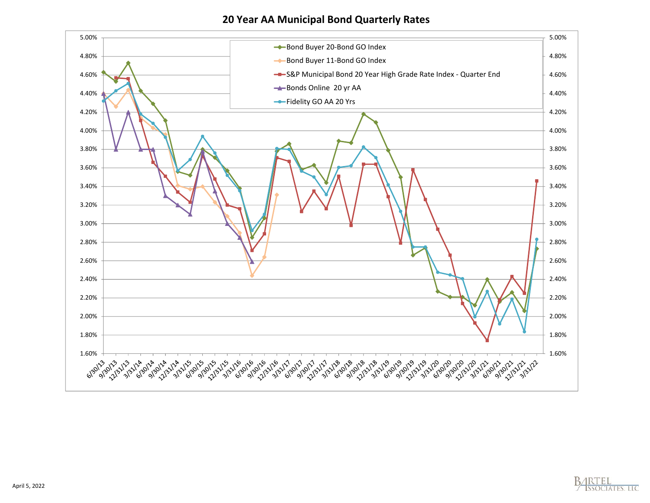**20 Year AA Municipal Bond Quarterly Rates**



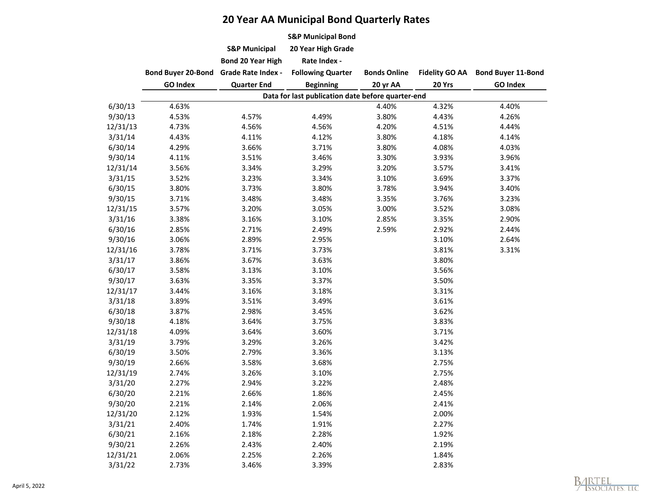# **20 Year AA Municipal Bond Quarterly Rates**

|          |                                              |                                                                             | <b>S&amp;P Municipal Bond</b>                                |                                 |                                 |                                              |
|----------|----------------------------------------------|-----------------------------------------------------------------------------|--------------------------------------------------------------|---------------------------------|---------------------------------|----------------------------------------------|
|          |                                              | <b>S&amp;P Municipal</b>                                                    | 20 Year High Grade                                           |                                 |                                 |                                              |
|          | <b>Bond Buyer 20-Bond</b><br><b>GO Index</b> | <b>Bond 20 Year High</b><br><b>Grade Rate Index -</b><br><b>Quarter End</b> | Rate Index -<br><b>Following Quarter</b><br><b>Beginning</b> | <b>Bonds Online</b><br>20 yr AA | <b>Fidelity GO AA</b><br>20 Yrs | <b>Bond Buyer 11-Bond</b><br><b>GO Index</b> |
|          |                                              |                                                                             |                                                              |                                 |                                 |                                              |
|          |                                              |                                                                             |                                                              |                                 |                                 |                                              |
|          |                                              |                                                                             | Data for last publication date before quarter-end            |                                 |                                 |                                              |
| 6/30/13  | 4.63%                                        |                                                                             |                                                              | 4.40%                           | 4.32%                           | 4.40%                                        |
| 9/30/13  | 4.53%                                        | 4.57%                                                                       | 4.49%                                                        | 3.80%                           | 4.43%                           | 4.26%                                        |
| 12/31/13 | 4.73%                                        | 4.56%                                                                       | 4.56%                                                        | 4.20%                           | 4.51%                           | 4.44%                                        |
| 3/31/14  | 4.43%                                        | 4.11%                                                                       | 4.12%                                                        | 3.80%                           | 4.18%                           | 4.14%                                        |
| 6/30/14  | 4.29%                                        | 3.66%                                                                       | 3.71%                                                        | 3.80%                           | 4.08%                           | 4.03%                                        |
| 9/30/14  | 4.11%                                        | 3.51%                                                                       | 3.46%                                                        | 3.30%                           | 3.93%                           | 3.96%                                        |
| 12/31/14 | 3.56%                                        | 3.34%                                                                       | 3.29%                                                        | 3.20%                           | 3.57%                           | 3.41%                                        |
| 3/31/15  | 3.52%                                        | 3.23%                                                                       | 3.34%                                                        | 3.10%                           | 3.69%                           | 3.37%                                        |
| 6/30/15  | 3.80%                                        | 3.73%                                                                       | 3.80%                                                        | 3.78%                           | 3.94%                           | 3.40%                                        |
| 9/30/15  | 3.71%                                        | 3.48%                                                                       | 3.48%                                                        | 3.35%                           | 3.76%                           | 3.23%                                        |
| 12/31/15 | 3.57%                                        | 3.20%                                                                       | 3.05%                                                        | 3.00%                           | 3.52%                           | 3.08%                                        |
| 3/31/16  | 3.38%                                        | 3.16%                                                                       | 3.10%                                                        | 2.85%                           | 3.35%                           | 2.90%                                        |
| 6/30/16  | 2.85%                                        | 2.71%                                                                       | 2.49%                                                        | 2.59%                           | 2.92%                           | 2.44%                                        |
| 9/30/16  | 3.06%                                        | 2.89%                                                                       | 2.95%                                                        |                                 | 3.10%                           | 2.64%                                        |
| 12/31/16 | 3.78%                                        | 3.71%                                                                       | 3.73%                                                        |                                 | 3.81%                           | 3.31%                                        |
| 3/31/17  | 3.86%                                        | 3.67%                                                                       | 3.63%                                                        |                                 | 3.80%                           |                                              |
| 6/30/17  | 3.58%                                        | 3.13%                                                                       | 3.10%                                                        |                                 | 3.56%                           |                                              |
| 9/30/17  | 3.63%                                        | 3.35%                                                                       | 3.37%                                                        |                                 | 3.50%                           |                                              |
| 12/31/17 | 3.44%                                        | 3.16%                                                                       | 3.18%                                                        |                                 | 3.31%                           |                                              |
| 3/31/18  | 3.89%                                        | 3.51%                                                                       | 3.49%                                                        |                                 | 3.61%                           |                                              |
| 6/30/18  | 3.87%                                        | 2.98%                                                                       | 3.45%                                                        |                                 | 3.62%                           |                                              |
| 9/30/18  | 4.18%                                        | 3.64%                                                                       | 3.75%                                                        |                                 | 3.83%                           |                                              |
| 12/31/18 | 4.09%                                        | 3.64%                                                                       | 3.60%                                                        |                                 | 3.71%                           |                                              |
| 3/31/19  | 3.79%                                        | 3.29%                                                                       | 3.26%                                                        |                                 | 3.42%                           |                                              |
| 6/30/19  | 3.50%                                        | 2.79%                                                                       | 3.36%                                                        |                                 | 3.13%                           |                                              |
| 9/30/19  | 2.66%                                        | 3.58%                                                                       | 3.68%                                                        |                                 | 2.75%                           |                                              |
| 12/31/19 | 2.74%                                        | 3.26%                                                                       | 3.10%                                                        |                                 | 2.75%                           |                                              |
| 3/31/20  | 2.27%                                        | 2.94%                                                                       | 3.22%                                                        |                                 | 2.48%                           |                                              |
| 6/30/20  | 2.21%                                        | 2.66%                                                                       | 1.86%                                                        |                                 | 2.45%                           |                                              |
| 9/30/20  | 2.21%                                        | 2.14%                                                                       | 2.06%                                                        |                                 | 2.41%                           |                                              |
| 12/31/20 | 2.12%                                        | 1.93%                                                                       | 1.54%                                                        |                                 | 2.00%                           |                                              |
| 3/31/21  | 2.40%                                        | 1.74%                                                                       | 1.91%                                                        |                                 | 2.27%                           |                                              |
| 6/30/21  | 2.16%                                        | 2.18%                                                                       | 2.28%                                                        |                                 | 1.92%                           |                                              |
| 9/30/21  | 2.26%                                        | 2.43%                                                                       | 2.40%                                                        |                                 | 2.19%                           |                                              |
| 12/31/21 | 2.06%                                        | 2.25%                                                                       | 2.26%                                                        |                                 | 1.84%                           |                                              |
| 3/31/22  | 2.73%                                        | 3.46%                                                                       | 3.39%                                                        |                                 | 2.83%                           |                                              |